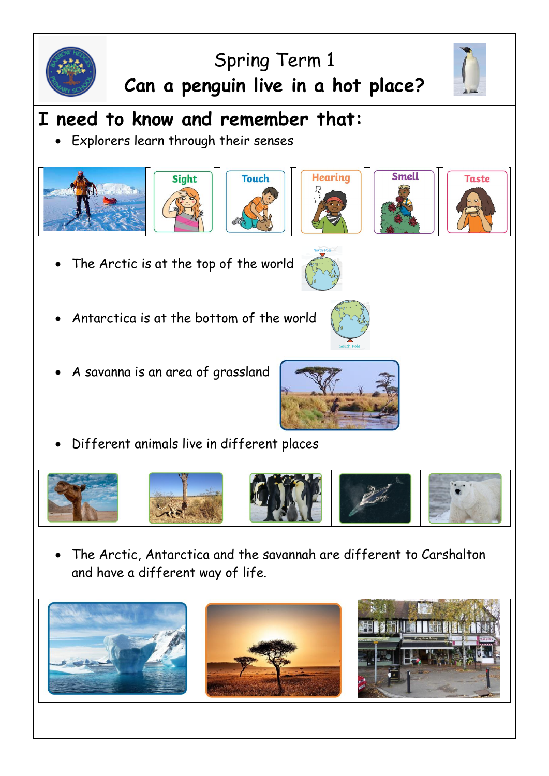

## Spring Term 1 **Can a penguin live in a hot place?**



• Explorers learn through their senses







- The Arctic is at the top of the world
- Antarctica is at the bottom of the world
- A savanna is an area of grassland



**Hearing** 

• Different animals live in different places



• The Arctic, Antarctica and the savannah are different to Carshalton and have a different way of life.





**Taste** 

**Smell**